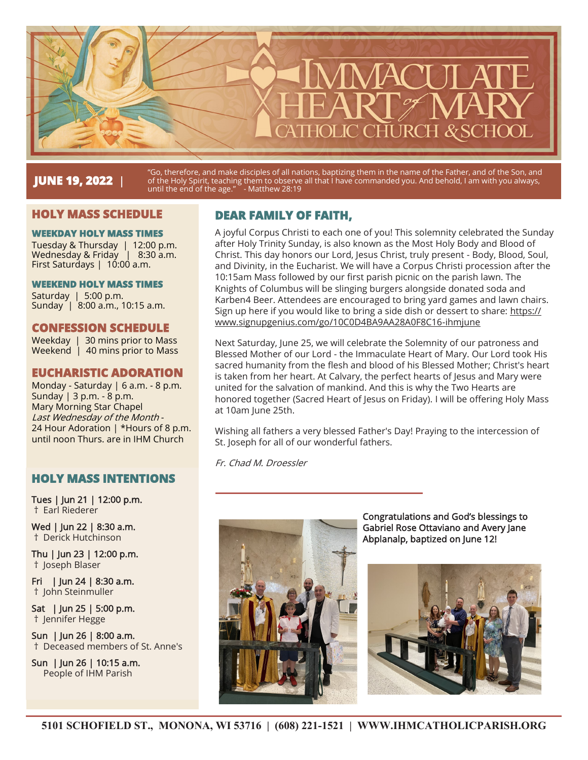

# **JUNE 19, 2022** |

"Go, therefore, and make disciples of all nations, baptizing them in the name of the Father, and of the Son, and of the Holy Spirit, teaching them to observe all that I have commanded you. And behold, I am with you always, until the end of the age." - Matthew 28:19

### **HOLY MASS SCHEDULE**

#### **WEEKDAY HOLY MASS TIMES**

Tuesday & Thursday | 12:00 p.m. Wednesday & Friday | 8:30 a.m. First Saturdays | 10:00 a.m.

#### **WEEKEND HOLY MASS TIMES**

Saturday | 5:00 p.m. Sunday | 8:00 a.m., 10:15 a.m.

### **CONFESSION SCHEDULE**

Weekday | 30 mins prior to Mass Weekend | 40 mins prior to Mass

### **EUCHARISTIC ADORATION**

Monday - Saturday | 6 a.m. - 8 p.m. Sunday | 3 p.m. - 8 p.m. Mary Morning Star Chapel Last Wednesday of the Month - 24 Hour Adoration | \*Hours of 8 p.m. until noon Thurs. are in IHM Church

### **HOLY MASS INTENTIONS**

Tues | Jun 21 | 12:00 p.m. † Earl Riederer

Wed | Jun 22 | 8:30 a.m. † Derick Hutchinson

Thu | Jun 23 | 12:00 p.m. † Joseph Blaser

Fri | Jun 24 | 8:30 a.m. † John Steinmuller

Sat | Jun 25 | 5:00 p.m. † Jennifer Hegge

Sun | Jun 26 | 8:00 a.m. † Deceased members of St. Anne's

Sun | Jun 26 | 10:15 a.m. People of IHM Parish

# **DEAR FAMILY OF FAITH,**

A joyful Corpus Christi to each one of you! This solemnity celebrated the Sunday after Holy Trinity Sunday, is also known as the Most Holy Body and Blood of Christ. This day honors our Lord, Jesus Christ, truly present - Body, Blood, Soul, and Divinity, in the Eucharist. We will have a Corpus Christi procession after the 10:15am Mass followed by our first parish picnic on the parish lawn. The Knights of Columbus will be slinging burgers alongside donated soda and Karben4 Beer. Attendees are encouraged to bring yard games and lawn chairs. Sign up here if you would like to bring a side dish or dessert to share: https:// www.signupgenius.com/go/10C0D4BA9AA28A0F8C16-ihmjune

Next Saturday, June 25, we will celebrate the Solemnity of our patroness and Blessed Mother of our Lord - the Immaculate Heart of Mary. Our Lord took His sacred humanity from the flesh and blood of his Blessed Mother; Christ's heart is taken from her heart. At Calvary, the perfect hearts of Jesus and Mary were united for the salvation of mankind. And this is why the Two Hearts are honored together (Sacred Heart of Jesus on Friday). I will be offering Holy Mass at 10am June 25th.

Wishing all fathers a very blessed Father's Day! Praying to the intercession of St. Joseph for all of our wonderful fathers.

Fr. Chad M. Droessler

I



Congratulations and God's blessings to Gabriel Rose Ottaviano and Avery Jane Abplanalp, baptized on June 12!